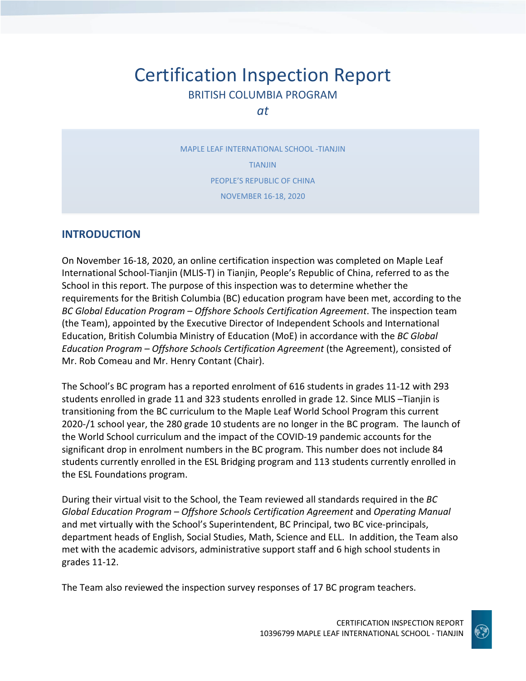# Certification Inspection Report BRITISH COLUMBIA PROGRAM

*at*

MAPLE LEAF INTERNATIONAL SCHOOL -TIANJIN TIANJIN PEOPLE'S REPUBLIC OF CHINA NOVEMBER 16-18, 2020

## **INTRODUCTION**

On November 16-18, 2020, an online certification inspection was completed on Maple Leaf International School-Tianjin (MLIS-T) in Tianjin, People's Republic of China, referred to as the School in this report. The purpose of this inspection was to determine whether the requirements for the British Columbia (BC) education program have been met, according to the *BC Global Education Program – Offshore Schools Certification Agreement*. The inspection team (the Team), appointed by the Executive Director of Independent Schools and International Education, British Columbia Ministry of Education (MoE) in accordance with the *BC Global Education Program – Offshore Schools Certification Agreement* (the Agreement), consisted of Mr. Rob Comeau and Mr. Henry Contant (Chair).

The School's BC program has a reported enrolment of 616 students in grades 11-12 with 293 students enrolled in grade 11 and 323 students enrolled in grade 12. Since MLIS –Tianjin is transitioning from the BC curriculum to the Maple Leaf World School Program this current 2020-/1 school year, the 280 grade 10 students are no longer in the BC program. The launch of the World School curriculum and the impact of the COVID-19 pandemic accounts for the significant drop in enrolment numbers in the BC program. This number does not include 84 students currently enrolled in the ESL Bridging program and 113 students currently enrolled in the ESL Foundations program.

During their virtual visit to the School, the Team reviewed all standards required in the *BC Global Education Program – Offshore Schools Certification Agreement* and *Operating Manual*  and met virtually with the School's Superintendent, BC Principal, two BC vice-principals, department heads of English, Social Studies, Math, Science and ELL. In addition, the Team also met with the academic advisors, administrative support staff and 6 high school students in grades 11-12.

The Team also reviewed the inspection survey responses of 17 BC program teachers.

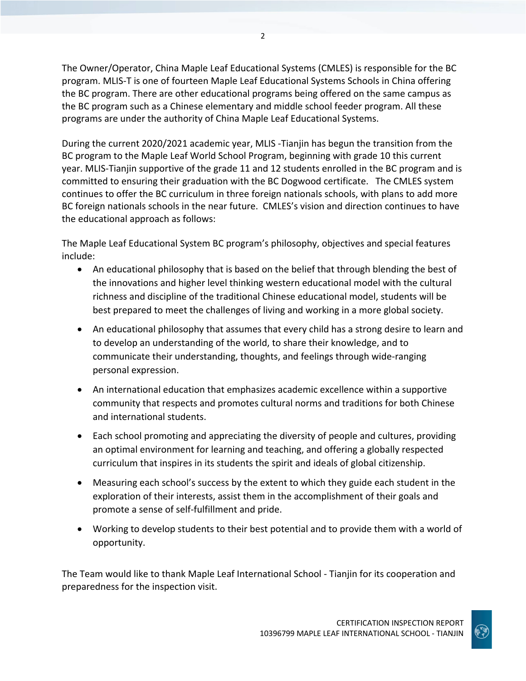The Owner/Operator, China Maple Leaf Educational Systems (CMLES) is responsible for the BC program. MLIS-T is one of fourteen Maple Leaf Educational Systems Schools in China offering the BC program. There are other educational programs being offered on the same campus as the BC program such as a Chinese elementary and middle school feeder program. All these programs are under the authority of China Maple Leaf Educational Systems.

During the current 2020/2021 academic year, MLIS -Tianjin has begun the transition from the BC program to the Maple Leaf World School Program, beginning with grade 10 this current year. MLIS-Tianjin supportive of the grade 11 and 12 students enrolled in the BC program and is committed to ensuring their graduation with the BC Dogwood certificate. The CMLES system continues to offer the BC curriculum in three foreign nationals schools, with plans to add more BC foreign nationals schools in the near future. CMLES's vision and direction continues to have the educational approach as follows:

The Maple Leaf Educational System BC program's philosophy, objectives and special features include:

- An educational philosophy that is based on the belief that through blending the best of the innovations and higher level thinking western educational model with the cultural richness and discipline of the traditional Chinese educational model, students will be best prepared to meet the challenges of living and working in a more global society.
- An educational philosophy that assumes that every child has a strong desire to learn and to develop an understanding of the world, to share their knowledge, and to communicate their understanding, thoughts, and feelings through wide-ranging personal expression.
- An international education that emphasizes academic excellence within a supportive community that respects and promotes cultural norms and traditions for both Chinese and international students.
- Each school promoting and appreciating the diversity of people and cultures, providing an optimal environment for learning and teaching, and offering a globally respected curriculum that inspires in its students the spirit and ideals of global citizenship.
- Measuring each school's success by the extent to which they guide each student in the exploration of their interests, assist them in the accomplishment of their goals and promote a sense of self-fulfillment and pride.
- Working to develop students to their best potential and to provide them with a world of opportunity.

The Team would like to thank Maple Leaf International School - Tianjin for its cooperation and preparedness for the inspection visit.

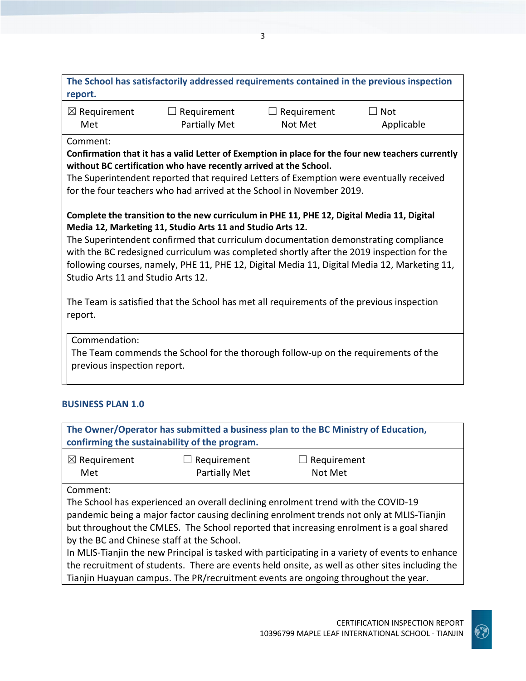| The School has satisfactorily addressed requirements contained in the previous inspection |  |
|-------------------------------------------------------------------------------------------|--|
| report.                                                                                   |  |

| $\boxtimes$ Requirement | $\Box$ Requirement   | $\Box$ Requirement | $\Box$ Not |
|-------------------------|----------------------|--------------------|------------|
| Met                     | <b>Partially Met</b> | Not Met            | Applicable |

Comment:

**Confirmation that it has a valid Letter of Exemption in place for the four new teachers currently without BC certification who have recently arrived at the School.** 

The Superintendent reported that required Letters of Exemption were eventually received for the four teachers who had arrived at the School in November 2019.

## **Complete the transition to the new curriculum in PHE 11, PHE 12, Digital Media 11, Digital Media 12, Marketing 11, Studio Arts 11 and Studio Arts 12.**

The Superintendent confirmed that curriculum documentation demonstrating compliance with the BC redesigned curriculum was completed shortly after the 2019 inspection for the following courses, namely, PHE 11, PHE 12, Digital Media 11, Digital Media 12, Marketing 11, Studio Arts 11 and Studio Arts 12.

The Team is satisfied that the School has met all requirements of the previous inspection report.

Commendation:

The Team commends the School for the thorough follow-up on the requirements of the previous inspection report.

# **BUSINESS PLAN 1.0**

**The Owner/Operator has submitted a business plan to the BC Ministry of Education, confirming the sustainability of the program.** ☒ Requirement Met ☐ Requirement Partially Met  $\Box$  Requirement Not Met Comment: The School has experienced an overall declining enrolment trend with the COVID-19 pandemic being a major factor causing declining enrolment trends not only at MLIS-Tianjin but throughout the CMLES. The School reported that increasing enrolment is a goal shared

by the BC and Chinese staff at the School.

In MLIS-Tianjin the new Principal is tasked with participating in a variety of events to enhance the recruitment of students. There are events held onsite, as well as other sites including the Tianjin Huayuan campus. The PR/recruitment events are ongoing throughout the year.

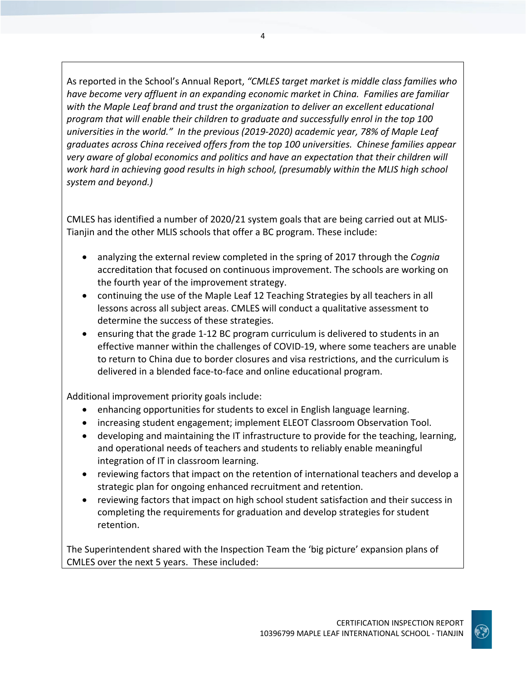As reported in the School's Annual Report, *"CMLES target market is middle class families who have become very affluent in an expanding economic market in China. Families are familiar with the Maple Leaf brand and trust the organization to deliver an excellent educational program that will enable their children to graduate and successfully enrol in the top 100 universities in the world." In the previous (2019-2020) academic year, 78% of Maple Leaf graduates across China received offers from the top 100 universities. Chinese families appear very aware of global economics and politics and have an expectation that their children will work hard in achieving good results in high school, (presumably within the MLIS high school system and beyond.)*

CMLES has identified a number of 2020/21 system goals that are being carried out at MLIS-Tianjin and the other MLIS schools that offer a BC program. These include:

- analyzing the external review completed in the spring of 2017 through the *Cognia*  accreditation that focused on continuous improvement. The schools are working on the fourth year of the improvement strategy.
- continuing the use of the Maple Leaf 12 Teaching Strategies by all teachers in all lessons across all subject areas. CMLES will conduct a qualitative assessment to determine the success of these strategies.
- ensuring that the grade 1-12 BC program curriculum is delivered to students in an effective manner within the challenges of COVID-19, where some teachers are unable to return to China due to border closures and visa restrictions, and the curriculum is delivered in a blended face-to-face and online educational program.

Additional improvement priority goals include:

- enhancing opportunities for students to excel in English language learning.
- increasing student engagement; implement ELEOT Classroom Observation Tool.
- developing and maintaining the IT infrastructure to provide for the teaching, learning, and operational needs of teachers and students to reliably enable meaningful integration of IT in classroom learning.
- reviewing factors that impact on the retention of international teachers and develop a strategic plan for ongoing enhanced recruitment and retention.
- reviewing factors that impact on high school student satisfaction and their success in completing the requirements for graduation and develop strategies for student retention.

The Superintendent shared with the Inspection Team the 'big picture' expansion plans of CMLES over the next 5 years. These included:



4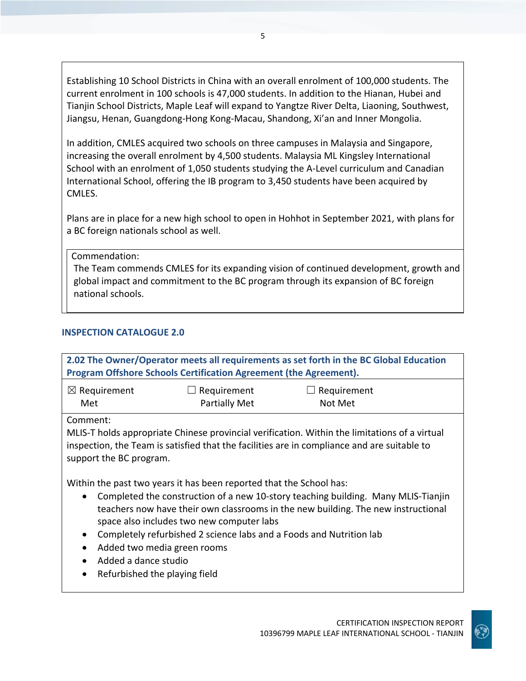Establishing 10 School Districts in China with an overall enrolment of 100,000 students. The current enrolment in 100 schools is 47,000 students. In addition to the Hianan, Hubei and Tianjin School Districts, Maple Leaf will expand to Yangtze River Delta, Liaoning, Southwest, Jiangsu, Henan, Guangdong-Hong Kong-Macau, Shandong, Xi'an and Inner Mongolia.

In addition, CMLES acquired two schools on three campuses in Malaysia and Singapore, increasing the overall enrolment by 4,500 students. Malaysia ML Kingsley International School with an enrolment of 1,050 students studying the A-Level curriculum and Canadian International School, offering the IB program to 3,450 students have been acquired by CMLES.

Plans are in place for a new high school to open in Hohhot in September 2021, with plans for a BC foreign nationals school as well.

Commendation:

The Team commends CMLES for its expanding vision of continued development, growth and global impact and commitment to the BC program through its expansion of BC foreign national schools.

#### **INSPECTION CATALOGUE 2.0**

| 2.02 The Owner/Operator meets all requirements as set forth in the BC Global Education<br>Program Offshore Schools Certification Agreement (the Agreement).                                                                                                                                                                                                                                                                                                                                                                |                                     |                        |  |  |
|----------------------------------------------------------------------------------------------------------------------------------------------------------------------------------------------------------------------------------------------------------------------------------------------------------------------------------------------------------------------------------------------------------------------------------------------------------------------------------------------------------------------------|-------------------------------------|------------------------|--|--|
| $\boxtimes$ Requirement<br>Met                                                                                                                                                                                                                                                                                                                                                                                                                                                                                             | Requirement<br><b>Partially Met</b> | Requirement<br>Not Met |  |  |
| Comment:<br>MLIS-T holds appropriate Chinese provincial verification. Within the limitations of a virtual<br>inspection, the Team is satisfied that the facilities are in compliance and are suitable to<br>support the BC program.                                                                                                                                                                                                                                                                                        |                                     |                        |  |  |
| Within the past two years it has been reported that the School has:<br>Completed the construction of a new 10-story teaching building. Many MLIS-Tianjin<br>$\bullet$<br>teachers now have their own classrooms in the new building. The new instructional<br>space also includes two new computer labs<br>Completely refurbished 2 science labs and a Foods and Nutrition lab<br>$\bullet$<br>Added two media green rooms<br>$\bullet$<br>Added a dance studio<br>$\bullet$<br>Refurbished the playing field<br>$\bullet$ |                                     |                        |  |  |

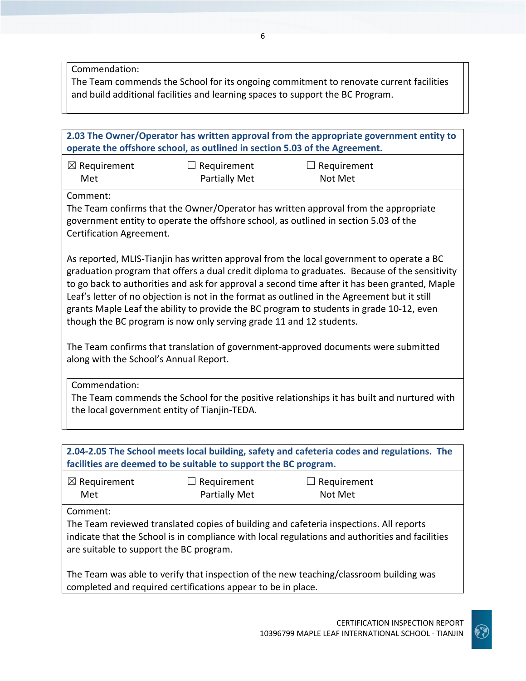Commendation:

The Team commends the School for its ongoing commitment to renovate current facilities and build additional facilities and learning spaces to support the BC Program.

| 2.03 The Owner/Operator has written approval from the appropriate government entity to<br>operate the offshore school, as outlined in section 5.03 of the Agreement.                                                                                                                                                                                                                                                                                                                                                                                          |                                            |                                                                                                                                                                             |  |  |
|---------------------------------------------------------------------------------------------------------------------------------------------------------------------------------------------------------------------------------------------------------------------------------------------------------------------------------------------------------------------------------------------------------------------------------------------------------------------------------------------------------------------------------------------------------------|--------------------------------------------|-----------------------------------------------------------------------------------------------------------------------------------------------------------------------------|--|--|
| $\boxtimes$ Requirement<br>Met                                                                                                                                                                                                                                                                                                                                                                                                                                                                                                                                | $\Box$ Requirement<br><b>Partially Met</b> | Requirement<br>Not Met                                                                                                                                                      |  |  |
| Comment:<br>Certification Agreement.                                                                                                                                                                                                                                                                                                                                                                                                                                                                                                                          |                                            | The Team confirms that the Owner/Operator has written approval from the appropriate<br>government entity to operate the offshore school, as outlined in section 5.03 of the |  |  |
| As reported, MLIS-Tianjin has written approval from the local government to operate a BC<br>graduation program that offers a dual credit diploma to graduates. Because of the sensitivity<br>to go back to authorities and ask for approval a second time after it has been granted, Maple<br>Leaf's letter of no objection is not in the format as outlined in the Agreement but it still<br>grants Maple Leaf the ability to provide the BC program to students in grade 10-12, even<br>though the BC program is now only serving grade 11 and 12 students. |                                            |                                                                                                                                                                             |  |  |
| The Team confirms that translation of government-approved documents were submitted<br>along with the School's Annual Report.                                                                                                                                                                                                                                                                                                                                                                                                                                  |                                            |                                                                                                                                                                             |  |  |
| Commendation:<br>the local government entity of Tianjin-TEDA.                                                                                                                                                                                                                                                                                                                                                                                                                                                                                                 |                                            | The Team commends the School for the positive relationships it has built and nurtured with                                                                                  |  |  |
|                                                                                                                                                                                                                                                                                                                                                                                                                                                                                                                                                               |                                            |                                                                                                                                                                             |  |  |
| 2.04-2.05 The School meets local building, safety and cafeteria codes and regulations. The<br>facilities are deemed to be suitable to support the BC program.                                                                                                                                                                                                                                                                                                                                                                                                 |                                            |                                                                                                                                                                             |  |  |
|                                                                                                                                                                                                                                                                                                                                                                                                                                                                                                                                                               |                                            |                                                                                                                                                                             |  |  |

| $\boxtimes$ Requirement | $\Box$ Requirement | $\Box$ Requirement |  |
|-------------------------|--------------------|--------------------|--|
| Met                     | Partially Met      | Not Met            |  |

Comment:

The Team reviewed translated copies of building and cafeteria inspections. All reports indicate that the School is in compliance with local regulations and authorities and facilities are suitable to support the BC program.

The Team was able to verify that inspection of the new teaching/classroom building was completed and required certifications appear to be in place.

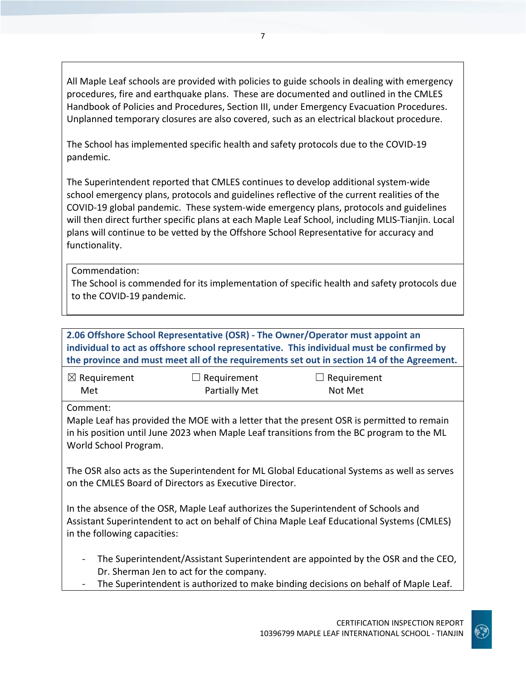All Maple Leaf schools are provided with policies to guide schools in dealing with emergency procedures, fire and earthquake plans. These are documented and outlined in the CMLES Handbook of Policies and Procedures, Section III, under Emergency Evacuation Procedures. Unplanned temporary closures are also covered, such as an electrical blackout procedure.

The School has implemented specific health and safety protocols due to the COVID-19 pandemic.

The Superintendent reported that CMLES continues to develop additional system-wide school emergency plans, protocols and guidelines reflective of the current realities of the COVID-19 global pandemic. These system-wide emergency plans, protocols and guidelines will then direct further specific plans at each Maple Leaf School, including MLIS-Tianjin. Local plans will continue to be vetted by the Offshore School Representative for accuracy and functionality.

Commendation:

The School is commended for its implementation of specific health and safety protocols due to the COVID-19 pandemic.

| 2.06 Offshore School Representative (OSR) - The Owner/Operator must appoint an<br>individual to act as offshore school representative. This individual must be confirmed by<br>the province and must meet all of the requirements set out in section 14 of the Agreement. |                                         |                                                                                   |  |  |
|---------------------------------------------------------------------------------------------------------------------------------------------------------------------------------------------------------------------------------------------------------------------------|-----------------------------------------|-----------------------------------------------------------------------------------|--|--|
| $\boxtimes$ Requirement<br>Met                                                                                                                                                                                                                                            | Requirement<br><b>Partially Met</b>     | Requirement<br>Not Met                                                            |  |  |
| Comment:<br>Maple Leaf has provided the MOE with a letter that the present OSR is permitted to remain<br>in his position until June 2023 when Maple Leaf transitions from the BC program to the ML<br>World School Program.                                               |                                         |                                                                                   |  |  |
| The OSR also acts as the Superintendent for ML Global Educational Systems as well as serves<br>on the CMLES Board of Directors as Executive Director.                                                                                                                     |                                         |                                                                                   |  |  |
| In the absence of the OSR, Maple Leaf authorizes the Superintendent of Schools and<br>Assistant Superintendent to act on behalf of China Maple Leaf Educational Systems (CMLES)<br>in the following capacities:                                                           |                                         |                                                                                   |  |  |
| $\overline{\phantom{a}}$                                                                                                                                                                                                                                                  | Dr. Sherman Jen to act for the company. | The Superintendent/Assistant Superintendent are appointed by the OSR and the CEO, |  |  |

The Superintendent is authorized to make binding decisions on behalf of Maple Leaf.

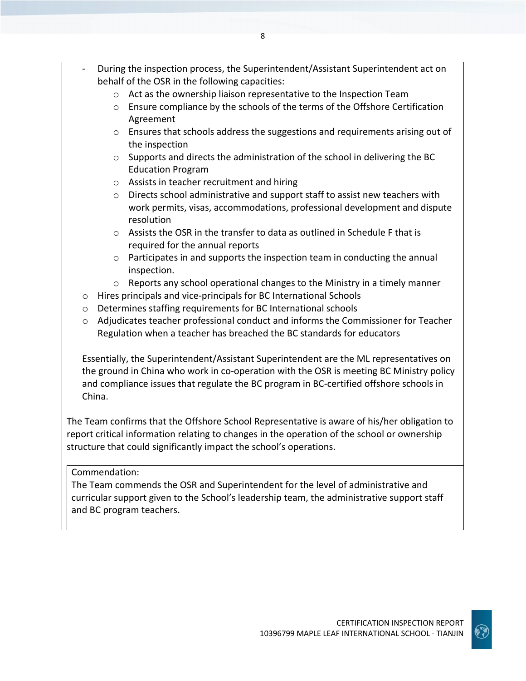- During the inspection process, the Superintendent/Assistant Superintendent act on behalf of the OSR in the following capacities:
	- o Act as the ownership liaison representative to the Inspection Team
	- $\circ$  Ensure compliance by the schools of the terms of the Offshore Certification Agreement
	- o Ensures that schools address the suggestions and requirements arising out of the inspection
	- o Supports and directs the administration of the school in delivering the BC Education Program
	- o Assists in teacher recruitment and hiring
	- $\circ$  Directs school administrative and support staff to assist new teachers with work permits, visas, accommodations, professional development and dispute resolution
	- $\circ$  Assists the OSR in the transfer to data as outlined in Schedule F that is required for the annual reports
	- $\circ$  Participates in and supports the inspection team in conducting the annual inspection.
	- $\circ$  Reports any school operational changes to the Ministry in a timely manner
	- o Hires principals and vice-principals for BC International Schools
	- o Determines staffing requirements for BC International schools
	- $\circ$  Adjudicates teacher professional conduct and informs the Commissioner for Teacher Regulation when a teacher has breached the BC standards for educators

Essentially, the Superintendent/Assistant Superintendent are the ML representatives on the ground in China who work in co-operation with the OSR is meeting BC Ministry policy and compliance issues that regulate the BC program in BC-certified offshore schools in China.

The Team confirms that the Offshore School Representative is aware of his/her obligation to report critical information relating to changes in the operation of the school or ownership structure that could significantly impact the school's operations.

#### Commendation:

The Team commends the OSR and Superintendent for the level of administrative and curricular support given to the School's leadership team, the administrative support staff and BC program teachers.

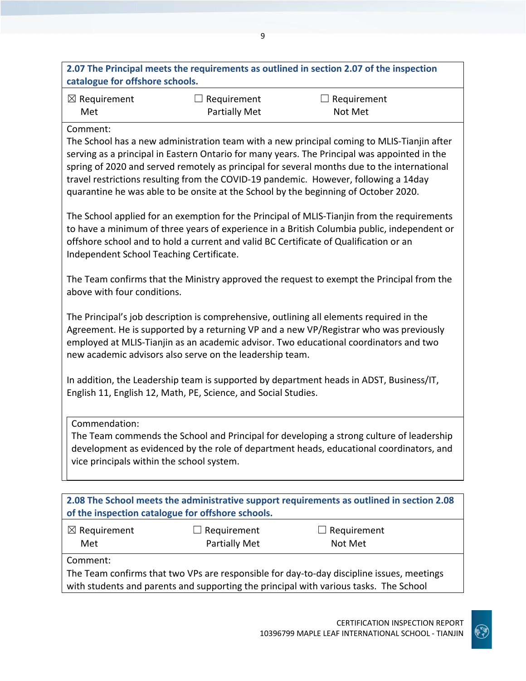|                                                                                                                                                                                                                                                                                                                                         |                                                                                     | 2.07 The Principal meets the requirements as outlined in section 2.07 of the inspection                                                                                                                                                                                                                                                                                           |  |
|-----------------------------------------------------------------------------------------------------------------------------------------------------------------------------------------------------------------------------------------------------------------------------------------------------------------------------------------|-------------------------------------------------------------------------------------|-----------------------------------------------------------------------------------------------------------------------------------------------------------------------------------------------------------------------------------------------------------------------------------------------------------------------------------------------------------------------------------|--|
| catalogue for offshore schools.                                                                                                                                                                                                                                                                                                         |                                                                                     |                                                                                                                                                                                                                                                                                                                                                                                   |  |
| $\boxtimes$ Requirement                                                                                                                                                                                                                                                                                                                 | Requirement                                                                         | $\Box$ Requirement                                                                                                                                                                                                                                                                                                                                                                |  |
| Met                                                                                                                                                                                                                                                                                                                                     | <b>Partially Met</b>                                                                | Not Met                                                                                                                                                                                                                                                                                                                                                                           |  |
| Comment:                                                                                                                                                                                                                                                                                                                                | quarantine he was able to be onsite at the School by the beginning of October 2020. | The School has a new administration team with a new principal coming to MLIS-Tianjin after<br>serving as a principal in Eastern Ontario for many years. The Principal was appointed in the<br>spring of 2020 and served remotely as principal for several months due to the international<br>travel restrictions resulting from the COVID-19 pandemic. However, following a 14day |  |
| The School applied for an exemption for the Principal of MLIS-Tianjin from the requirements<br>to have a minimum of three years of experience in a British Columbia public, independent or<br>offshore school and to hold a current and valid BC Certificate of Qualification or an<br>Independent School Teaching Certificate.         |                                                                                     |                                                                                                                                                                                                                                                                                                                                                                                   |  |
| above with four conditions.                                                                                                                                                                                                                                                                                                             |                                                                                     | The Team confirms that the Ministry approved the request to exempt the Principal from the                                                                                                                                                                                                                                                                                         |  |
| The Principal's job description is comprehensive, outlining all elements required in the<br>Agreement. He is supported by a returning VP and a new VP/Registrar who was previously<br>employed at MLIS-Tianjin as an academic advisor. Two educational coordinators and two<br>new academic advisors also serve on the leadership team. |                                                                                     |                                                                                                                                                                                                                                                                                                                                                                                   |  |
|                                                                                                                                                                                                                                                                                                                                         | English 11, English 12, Math, PE, Science, and Social Studies.                      | In addition, the Leadership team is supported by department heads in ADST, Business/IT,                                                                                                                                                                                                                                                                                           |  |
| Commendation:<br>vice principals within the school system.                                                                                                                                                                                                                                                                              |                                                                                     | The Team commends the School and Principal for developing a strong culture of leadership<br>development as evidenced by the role of department heads, educational coordinators, and                                                                                                                                                                                               |  |
|                                                                                                                                                                                                                                                                                                                                         |                                                                                     |                                                                                                                                                                                                                                                                                                                                                                                   |  |
|                                                                                                                                                                                                                                                                                                                                         | of the inspection catalogue for offshore schools.                                   | 2.08 The School meets the administrative support requirements as outlined in section 2.08                                                                                                                                                                                                                                                                                         |  |
| $\boxtimes$ Requirement<br>Met                                                                                                                                                                                                                                                                                                          | Requirement<br><b>Partially Met</b>                                                 | Requirement<br>Not Met                                                                                                                                                                                                                                                                                                                                                            |  |
| Comment:                                                                                                                                                                                                                                                                                                                                |                                                                                     |                                                                                                                                                                                                                                                                                                                                                                                   |  |

9

The Team confirms that two VPs are responsible for day-to-day discipline issues, meetings with students and parents and supporting the principal with various tasks. The School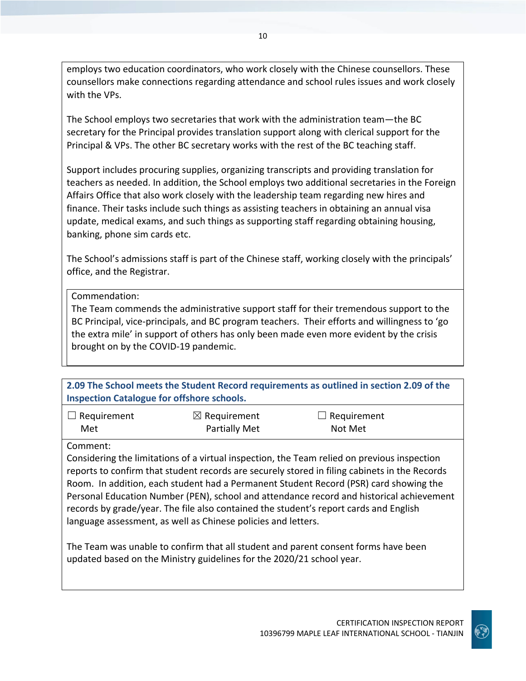employs two education coordinators, who work closely with the Chinese counsellors. These counsellors make connections regarding attendance and school rules issues and work closely with the VPs.

The School employs two secretaries that work with the administration team—the BC secretary for the Principal provides translation support along with clerical support for the Principal & VPs. The other BC secretary works with the rest of the BC teaching staff.

Support includes procuring supplies, organizing transcripts and providing translation for teachers as needed. In addition, the School employs two additional secretaries in the Foreign Affairs Office that also work closely with the leadership team regarding new hires and finance. Their tasks include such things as assisting teachers in obtaining an annual visa update, medical exams, and such things as supporting staff regarding obtaining housing, banking, phone sim cards etc.

The School's admissions staff is part of the Chinese staff, working closely with the principals' office, and the Registrar.

#### Commendation:

The Team commends the administrative support staff for their tremendous support to the BC Principal, vice-principals, and BC program teachers. Their efforts and willingness to 'go the extra mile' in support of others has only been made even more evident by the crisis brought on by the COVID-19 pandemic.

**2.09 The School meets the Student Record requirements as outlined in section 2.09 of the Inspection Catalogue for offshore schools.**

| $\Box$ Requirement | $\boxtimes$ Requirement | $\Box$ Requirement |
|--------------------|-------------------------|--------------------|
| Met                | <b>Partially Met</b>    | Not Met            |

Comment:

Considering the limitations of a virtual inspection, the Team relied on previous inspection reports to confirm that student records are securely stored in filing cabinets in the Records Room. In addition, each student had a Permanent Student Record (PSR) card showing the Personal Education Number (PEN), school and attendance record and historical achievement records by grade/year. The file also contained the student's report cards and English language assessment, as well as Chinese policies and letters.

The Team was unable to confirm that all student and parent consent forms have been updated based on the Ministry guidelines for the 2020/21 school year.

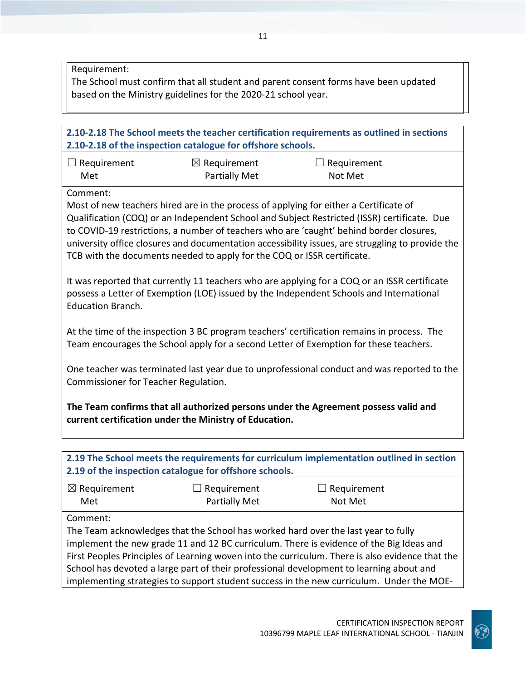Requirement:

The School must confirm that all student and parent consent forms have been updated based on the Ministry guidelines for the 2020-21 school year.

|                                                                                                                                    | 2.10-2.18 of the inspection catalogue for offshore schools.             | 2.10-2.18 The School meets the teacher certification requirements as outlined in sections                                                                                                                                                                                                                                                                                                                                                                              |  |
|------------------------------------------------------------------------------------------------------------------------------------|-------------------------------------------------------------------------|------------------------------------------------------------------------------------------------------------------------------------------------------------------------------------------------------------------------------------------------------------------------------------------------------------------------------------------------------------------------------------------------------------------------------------------------------------------------|--|
| $\Box$ Requirement<br>Met                                                                                                          | $\boxtimes$ Requirement<br><b>Partially Met</b>                         | Requirement<br>Not Met                                                                                                                                                                                                                                                                                                                                                                                                                                                 |  |
| Comment:                                                                                                                           | TCB with the documents needed to apply for the COQ or ISSR certificate. | Most of new teachers hired are in the process of applying for either a Certificate of<br>Qualification (COQ) or an Independent School and Subject Restricted (ISSR) certificate. Due<br>to COVID-19 restrictions, a number of teachers who are 'caught' behind border closures,<br>university office closures and documentation accessibility issues, are struggling to provide the                                                                                    |  |
| <b>Education Branch.</b>                                                                                                           |                                                                         | It was reported that currently 11 teachers who are applying for a COQ or an ISSR certificate<br>possess a Letter of Exemption (LOE) issued by the Independent Schools and International                                                                                                                                                                                                                                                                                |  |
|                                                                                                                                    |                                                                         | At the time of the inspection 3 BC program teachers' certification remains in process. The<br>Team encourages the School apply for a second Letter of Exemption for these teachers.                                                                                                                                                                                                                                                                                    |  |
| One teacher was terminated last year due to unprofessional conduct and was reported to the<br>Commissioner for Teacher Regulation. |                                                                         |                                                                                                                                                                                                                                                                                                                                                                                                                                                                        |  |
|                                                                                                                                    | current certification under the Ministry of Education.                  | The Team confirms that all authorized persons under the Agreement possess valid and                                                                                                                                                                                                                                                                                                                                                                                    |  |
|                                                                                                                                    | 2.19 of the inspection catalogue for offshore schools.                  | 2.19 The School meets the requirements for curriculum implementation outlined in section                                                                                                                                                                                                                                                                                                                                                                               |  |
| $\boxtimes$ Requirement<br>Met                                                                                                     | Requirement<br><b>Partially Met</b>                                     | Requirement<br>Not Met                                                                                                                                                                                                                                                                                                                                                                                                                                                 |  |
| Comment:                                                                                                                           |                                                                         | The Team acknowledges that the School has worked hard over the last year to fully<br>implement the new grade 11 and 12 BC curriculum. There is evidence of the Big Ideas and<br>First Peoples Principles of Learning woven into the curriculum. There is also evidence that the<br>School has devoted a large part of their professional development to learning about and<br>implementing strategies to support student success in the new curriculum. Under the MOE- |  |

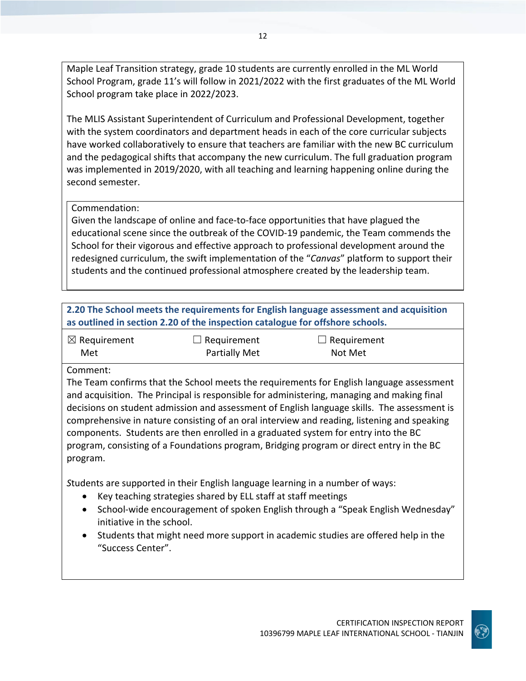Maple Leaf Transition strategy, grade 10 students are currently enrolled in the ML World School Program, grade 11's will follow in 2021/2022 with the first graduates of the ML World School program take place in 2022/2023.

The MLIS Assistant Superintendent of Curriculum and Professional Development, together with the system coordinators and department heads in each of the core curricular subjects have worked collaboratively to ensure that teachers are familiar with the new BC curriculum and the pedagogical shifts that accompany the new curriculum. The full graduation program was implemented in 2019/2020, with all teaching and learning happening online during the second semester.

## Commendation:

Given the landscape of online and face-to-face opportunities that have plagued the educational scene since the outbreak of the COVID-19 pandemic, the Team commends the School for their vigorous and effective approach to professional development around the redesigned curriculum, the swift implementation of the "*Canvas*" platform to support their students and the continued professional atmosphere created by the leadership team.

| 2.20 The School meets the requirements for English language assessment and acquisition |
|----------------------------------------------------------------------------------------|
| as outlined in section 2.20 of the inspection catalogue for offshore schools.          |

| $\boxtimes$ Requirement | $\Box$ Requirement   | $\Box$ Requirement |
|-------------------------|----------------------|--------------------|
| Met                     | <b>Partially Met</b> | Not Met            |

#### Comment:

The Team confirms that the School meets the requirements for English language assessment and acquisition. The Principal is responsible for administering, managing and making final decisions on student admission and assessment of English language skills. The assessment is comprehensive in nature consisting of an oral interview and reading, listening and speaking components. Students are then enrolled in a graduated system for entry into the BC program, consisting of a Foundations program, Bridging program or direct entry in the BC program.

*S*tudents are supported in their English language learning in a number of ways:

- Key teaching strategies shared by ELL staff at staff meetings
- School-wide encouragement of spoken English through a "Speak English Wednesday" initiative in the school.
- Students that might need more support in academic studies are offered help in the "Success Center".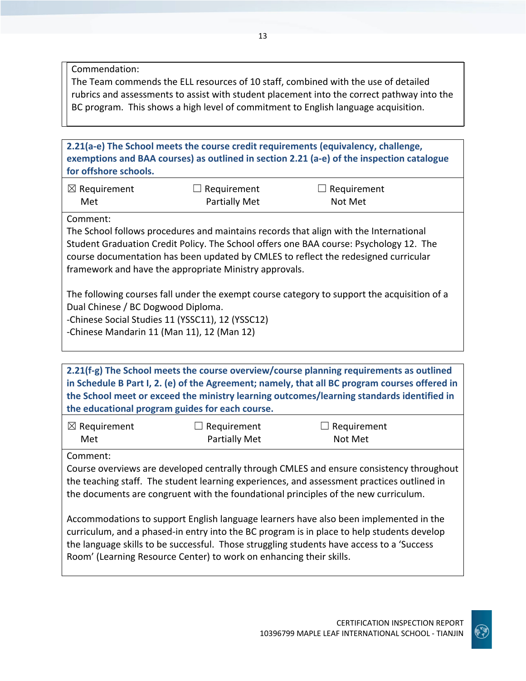Commendation:

The Team commends the ELL resources of 10 staff, combined with the use of detailed rubrics and assessments to assist with student placement into the correct pathway into the BC program. This shows a high level of commitment to English language acquisition.

**2.21(a-e) The School meets the course credit requirements (equivalency, challenge, exemptions and BAA courses) as outlined in section 2.21 (a-e) of the inspection catalogue for offshore schools.**

| $\boxtimes$ Requirement | $\Box$ Requirement | $\Box$ Requirement |
|-------------------------|--------------------|--------------------|
| Met                     | Partially Met      | Not Met            |

Comment:

The School follows procedures and maintains records that align with the International Student Graduation Credit Policy. The School offers one BAA course: Psychology 12. The course documentation has been updated by CMLES to reflect the redesigned curricular framework and have the appropriate Ministry approvals.

The following courses fall under the exempt course category to support the acquisition of a Dual Chinese / BC Dogwood Diploma.

-Chinese Social Studies 11 (YSSC11), 12 (YSSC12)

-Chinese Mandarin 11 (Man 11), 12 (Man 12)

**2.21(f-g) The School meets the course overview/course planning requirements as outlined in Schedule B Part I, 2. (e) of the Agreement; namely, that all BC program courses offered in the School meet or exceed the ministry learning outcomes/learning standards identified in the educational program guides for each course.**

| $\boxtimes$ Requirement | $\Box$ Requirement   | $\Box$ Requirement |
|-------------------------|----------------------|--------------------|
| Met                     | <b>Partially Met</b> | Not Met            |

Comment:

Course overviews are developed centrally through CMLES and ensure consistency throughout the teaching staff. The student learning experiences, and assessment practices outlined in the documents are congruent with the foundational principles of the new curriculum.

Accommodations to support English language learners have also been implemented in the curriculum, and a phased-in entry into the BC program is in place to help students develop the language skills to be successful. Those struggling students have access to a 'Success Room' (Learning Resource Center) to work on enhancing their skills.

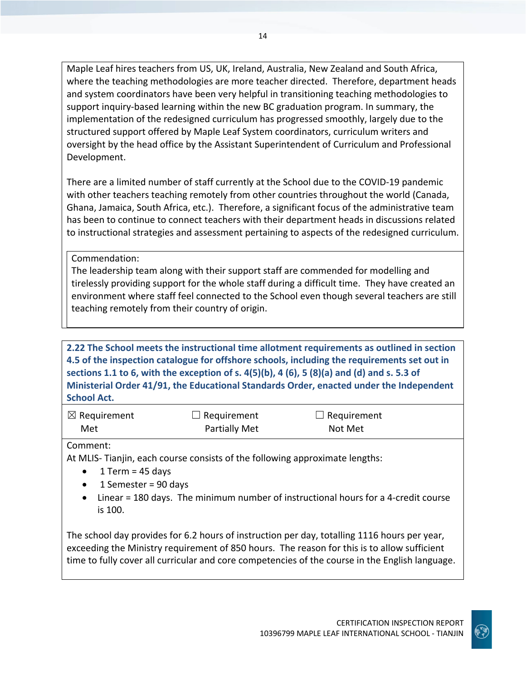Maple Leaf hires teachers from US, UK, Ireland, Australia, New Zealand and South Africa, where the teaching methodologies are more teacher directed. Therefore, department heads and system coordinators have been very helpful in transitioning teaching methodologies to support inquiry-based learning within the new BC graduation program. In summary, the implementation of the redesigned curriculum has progressed smoothly, largely due to the structured support offered by Maple Leaf System coordinators, curriculum writers and oversight by the head office by the Assistant Superintendent of Curriculum and Professional Development.

There are a limited number of staff currently at the School due to the COVID-19 pandemic with other teachers teaching remotely from other countries throughout the world (Canada, Ghana, Jamaica, South Africa, etc.). Therefore, a significant focus of the administrative team has been to continue to connect teachers with their department heads in discussions related to instructional strategies and assessment pertaining to aspects of the redesigned curriculum.

Commendation:

The leadership team along with their support staff are commended for modelling and tirelessly providing support for the whole staff during a difficult time. They have created an environment where staff feel connected to the School even though several teachers are still teaching remotely from their country of origin.

**2.22 The School meets the instructional time allotment requirements as outlined in section 4.5 of the inspection catalogue for offshore schools, including the requirements set out in sections 1.1 to 6, with the exception of s. 4(5)(b), 4 (6), 5 (8)(a) and (d) and s. 5.3 of Ministerial Order 41/91, the Educational Standards Order, enacted under the Independent School Act.**

| $\boxtimes$ Requirement | $\Box$ Requirement   | $\Box$ Requirement |  |
|-------------------------|----------------------|--------------------|--|
| Met                     | <b>Partially Met</b> | Not Met            |  |

## Comment:

At MLIS- Tianjin, each course consists of the following approximate lengths:

- 1 Term =  $45$  days
- 1 Semester = 90 days
- Linear = 180 days. The minimum number of instructional hours for a 4-credit course is 100.

The school day provides for 6.2 hours of instruction per day, totalling 1116 hours per year, exceeding the Ministry requirement of 850 hours. The reason for this is to allow sufficient time to fully cover all curricular and core competencies of the course in the English language.

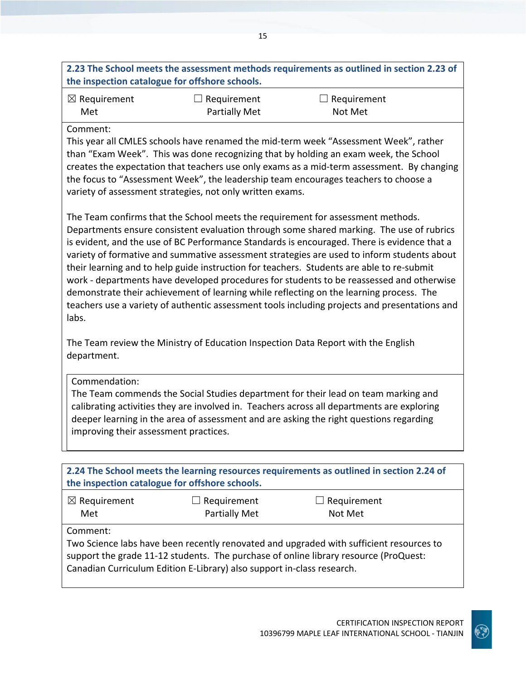| 2.23 The School meets the assessment methods requirements as outlined in section 2.23 of |
|------------------------------------------------------------------------------------------|
| the inspection catalogue for offshore schools.                                           |

| $\boxtimes$ Requirement | $\Box$ Requirement   | $\Box$ Requirement |  |
|-------------------------|----------------------|--------------------|--|
| Met                     | <b>Partially Met</b> | Not Met            |  |

#### Comment:

This year all CMLES schools have renamed the mid-term week "Assessment Week", rather than "Exam Week". This was done recognizing that by holding an exam week, the School creates the expectation that teachers use only exams as a mid-term assessment. By changing the focus to "Assessment Week", the leadership team encourages teachers to choose a variety of assessment strategies, not only written exams.

The Team confirms that the School meets the requirement for assessment methods. Departments ensure consistent evaluation through some shared marking. The use of rubrics is evident, and the use of BC Performance Standards is encouraged. There is evidence that a variety of formative and summative assessment strategies are used to inform students about their learning and to help guide instruction for teachers. Students are able to re-submit work - departments have developed procedures for students to be reassessed and otherwise demonstrate their achievement of learning while reflecting on the learning process. The teachers use a variety of authentic assessment tools including projects and presentations and labs.

The Team review the Ministry of Education Inspection Data Report with the English department.

## Commendation:

The Team commends the Social Studies department for their lead on team marking and calibrating activities they are involved in. Teachers across all departments are exploring deeper learning in the area of assessment and are asking the right questions regarding improving their assessment practices.

| 2.24 The School meets the learning resources requirements as outlined in section 2.24 of<br>the inspection catalogue for offshore schools.                                                                                                                |                    |                    |  |
|-----------------------------------------------------------------------------------------------------------------------------------------------------------------------------------------------------------------------------------------------------------|--------------------|--------------------|--|
| $\boxtimes$ Requirement                                                                                                                                                                                                                                   | $\Box$ Requirement | $\Box$ Requirement |  |
| Met                                                                                                                                                                                                                                                       | Partially Met      | Not Met            |  |
| Comment:                                                                                                                                                                                                                                                  |                    |                    |  |
| Two Science labs have been recently renovated and upgraded with sufficient resources to<br>support the grade 11-12 students. The purchase of online library resource (ProQuest:<br>Canadian Curriculum Edition E-Library) also support in-class research. |                    |                    |  |
|                                                                                                                                                                                                                                                           |                    |                    |  |

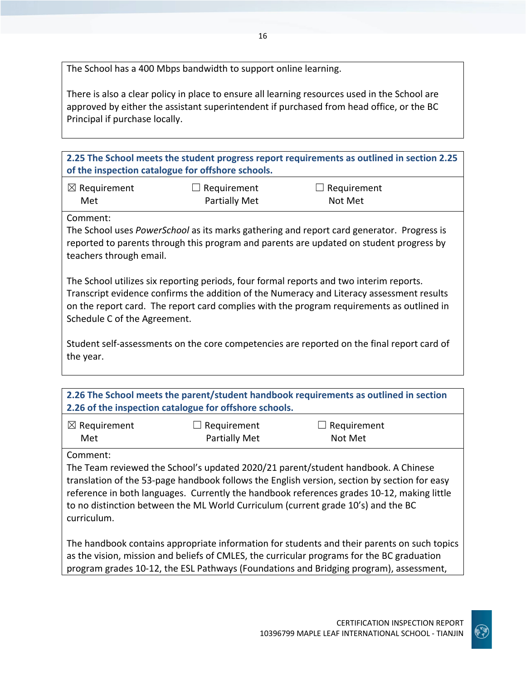The School has a 400 Mbps bandwidth to support online learning.

There is also a clear policy in place to ensure all learning resources used in the School are approved by either the assistant superintendent if purchased from head office, or the BC Principal if purchase locally.

**2.25 The School meets the student progress report requirements as outlined in section 2.25 of the inspection catalogue for offshore schools.**

| $\boxtimes$ Requirement | $\Box$ Requirement   | $\Box$ Requirement |
|-------------------------|----------------------|--------------------|
| Met                     | <b>Partially Met</b> | Not Met            |

Comment:

The School uses *PowerSchool* as its marks gathering and report card generator. Progress is reported to parents through this program and parents are updated on student progress by teachers through email.

The School utilizes six reporting periods, four formal reports and two interim reports. Transcript evidence confirms the addition of the Numeracy and Literacy assessment results on the report card. The report card complies with the program requirements as outlined in Schedule C of the Agreement.

Student self-assessments on the core competencies are reported on the final report card of the year.

| 2.26 The School meets the parent/student handbook requirements as outlined in section<br>2.26 of the inspection catalogue for offshore schools. |                                     |                               |  |  |
|-------------------------------------------------------------------------------------------------------------------------------------------------|-------------------------------------|-------------------------------|--|--|
| $\boxtimes$ Requirement<br>Met                                                                                                                  | $\Box$ Requirement<br>Partially Met | $\Box$ Requirement<br>Not Met |  |  |
|                                                                                                                                                 |                                     |                               |  |  |

Comment:

The Team reviewed the School's updated 2020/21 parent/student handbook. A Chinese translation of the 53-page handbook follows the English version, section by section for easy reference in both languages. Currently the handbook references grades 10-12, making little to no distinction between the ML World Curriculum (current grade 10's) and the BC curriculum.

The handbook contains appropriate information for students and their parents on such topics as the vision, mission and beliefs of CMLES, the curricular programs for the BC graduation program grades 10-12, the ESL Pathways (Foundations and Bridging program), assessment,

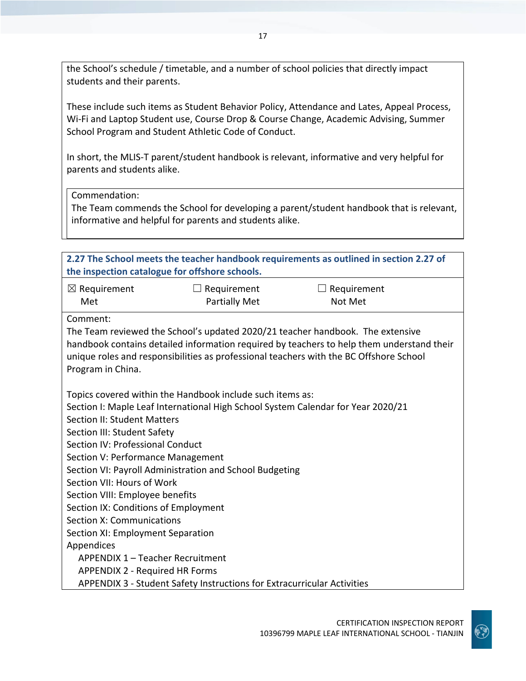the School's schedule / timetable, and a number of school policies that directly impact students and their parents.

These include such items as Student Behavior Policy, Attendance and Lates, Appeal Process, Wi-Fi and Laptop Student use, Course Drop & Course Change, Academic Advising, Summer School Program and Student Athletic Code of Conduct.

In short, the MLIS-T parent/student handbook is relevant, informative and very helpful for parents and students alike.

Commendation:

The Team commends the School for developing a parent/student handbook that is relevant, informative and helpful for parents and students alike.

| 2.27 The School meets the teacher handbook requirements as outlined in section 2.27 of<br>the inspection catalogue for offshore schools.                                                                                                                              |                                       |                                                                                  |  |  |
|-----------------------------------------------------------------------------------------------------------------------------------------------------------------------------------------------------------------------------------------------------------------------|---------------------------------------|----------------------------------------------------------------------------------|--|--|
| $\boxtimes$ Requirement                                                                                                                                                                                                                                               | $\Box$ Requirement                    | $\Box$ Requirement                                                               |  |  |
| Met                                                                                                                                                                                                                                                                   | <b>Partially Met</b>                  | Not Met                                                                          |  |  |
| Comment:                                                                                                                                                                                                                                                              |                                       |                                                                                  |  |  |
| The Team reviewed the School's updated 2020/21 teacher handbook. The extensive<br>handbook contains detailed information required by teachers to help them understand their<br>unique roles and responsibilities as professional teachers with the BC Offshore School |                                       |                                                                                  |  |  |
| Program in China.                                                                                                                                                                                                                                                     |                                       |                                                                                  |  |  |
| Topics covered within the Handbook include such items as:                                                                                                                                                                                                             |                                       |                                                                                  |  |  |
|                                                                                                                                                                                                                                                                       |                                       | Section I: Maple Leaf International High School System Calendar for Year 2020/21 |  |  |
| <b>Section II: Student Matters</b>                                                                                                                                                                                                                                    |                                       |                                                                                  |  |  |
| Section III: Student Safety                                                                                                                                                                                                                                           |                                       |                                                                                  |  |  |
| Section IV: Professional Conduct                                                                                                                                                                                                                                      |                                       |                                                                                  |  |  |
|                                                                                                                                                                                                                                                                       | Section V: Performance Management     |                                                                                  |  |  |
| Section VI: Payroll Administration and School Budgeting                                                                                                                                                                                                               |                                       |                                                                                  |  |  |
| Section VII: Hours of Work                                                                                                                                                                                                                                            |                                       |                                                                                  |  |  |
| Section VIII: Employee benefits                                                                                                                                                                                                                                       |                                       |                                                                                  |  |  |
| Section IX: Conditions of Employment                                                                                                                                                                                                                                  |                                       |                                                                                  |  |  |
| Section X: Communications                                                                                                                                                                                                                                             |                                       |                                                                                  |  |  |
| Section XI: Employment Separation                                                                                                                                                                                                                                     |                                       |                                                                                  |  |  |
| Appendices                                                                                                                                                                                                                                                            |                                       |                                                                                  |  |  |
| APPENDIX 1 - Teacher Recruitment                                                                                                                                                                                                                                      |                                       |                                                                                  |  |  |
|                                                                                                                                                                                                                                                                       | <b>APPENDIX 2 - Required HR Forms</b> |                                                                                  |  |  |
| <b>APPENDIX 3 - Student Safety Instructions for Extracurricular Activities</b>                                                                                                                                                                                        |                                       |                                                                                  |  |  |

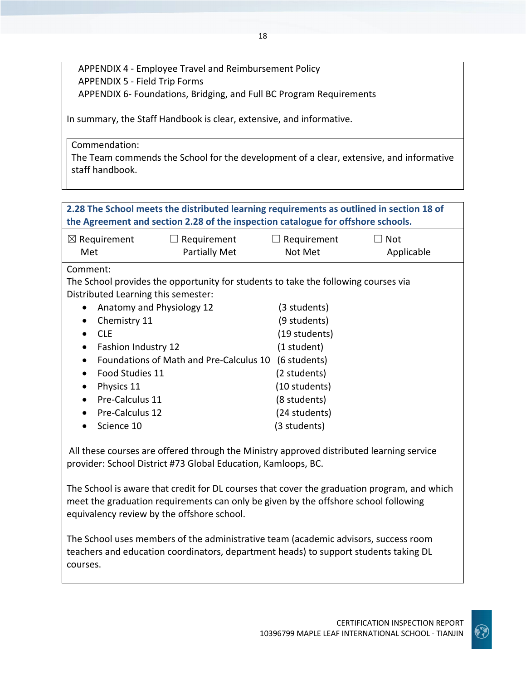APPENDIX 4 - Employee Travel and Reimbursement Policy APPENDIX 5 - Field Trip Forms APPENDIX 6- Foundations, Bridging, and Full BC Program Requirements

In summary, the Staff Handbook is clear, extensive, and informative.

Commendation:

The Team commends the School for the development of a clear, extensive, and informative staff handbook.

# **2.28 The School meets the distributed learning requirements as outlined in section 18 of the Agreement and section 2.28 of the inspection catalogue for offshore schools.**

| $\boxtimes$ Requirement | $\Box$ Requirement | $\Box$ Requirement | $\Box$ Not |
|-------------------------|--------------------|--------------------|------------|
| Met                     | Partially Met      | Not Met            | Applicable |

Comment:

The School provides the opportunity for students to take the following courses via Distributed Learning this semester:

| Anatomy and Physiology 12               | (3 students)  |
|-----------------------------------------|---------------|
| Chemistry 11                            | (9 students)  |
| CLE                                     | (19 students) |
| Fashion Industry 12                     | (1 student)   |
| Foundations of Math and Pre-Calculus 10 | (6 students)  |
| Food Studies 11                         | (2 students)  |
| Physics 11                              | (10 students) |
| Pre-Calculus 11                         | (8 students)  |
| Pre-Calculus 12                         | (24 students) |
| Science 10                              | (3 students)  |

All these courses are offered through the Ministry approved distributed learning service provider: School District #73 Global Education, Kamloops, BC.

The School is aware that credit for DL courses that cover the graduation program, and which meet the graduation requirements can only be given by the offshore school following equivalency review by the offshore school.

The School uses members of the administrative team (academic advisors, success room teachers and education coordinators, department heads) to support students taking DL courses.

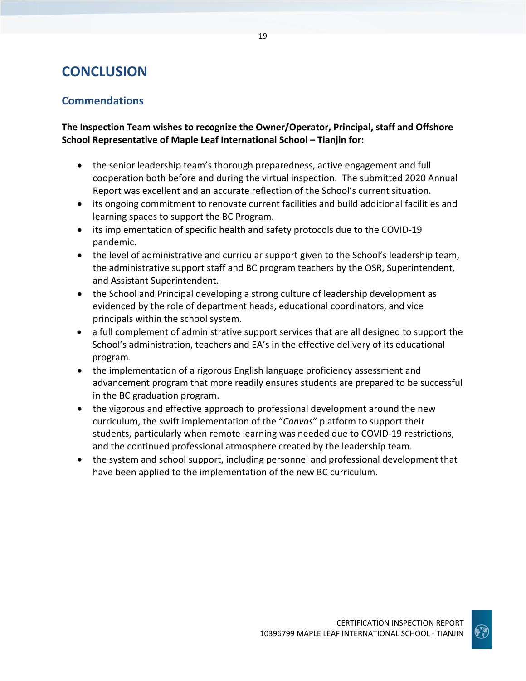# **CONCLUSION**

# **Commendations**

**The Inspection Team wishes to recognize the Owner/Operator, Principal, staff and Offshore School Representative of Maple Leaf International School – Tianjin for:**

- the senior leadership team's thorough preparedness, active engagement and full cooperation both before and during the virtual inspection. The submitted 2020 Annual Report was excellent and an accurate reflection of the School's current situation.
- its ongoing commitment to renovate current facilities and build additional facilities and learning spaces to support the BC Program.
- its implementation of specific health and safety protocols due to the COVID-19 pandemic.
- the level of administrative and curricular support given to the School's leadership team, the administrative support staff and BC program teachers by the OSR, Superintendent, and Assistant Superintendent.
- the School and Principal developing a strong culture of leadership development as evidenced by the role of department heads, educational coordinators, and vice principals within the school system.
- a full complement of administrative support services that are all designed to support the School's administration, teachers and EA's in the effective delivery of its educational program.
- the implementation of a rigorous English language proficiency assessment and advancement program that more readily ensures students are prepared to be successful in the BC graduation program.
- the vigorous and effective approach to professional development around the new curriculum, the swift implementation of the "*Canvas*" platform to support their students, particularly when remote learning was needed due to COVID-19 restrictions, and the continued professional atmosphere created by the leadership team.
- the system and school support, including personnel and professional development that have been applied to the implementation of the new BC curriculum.